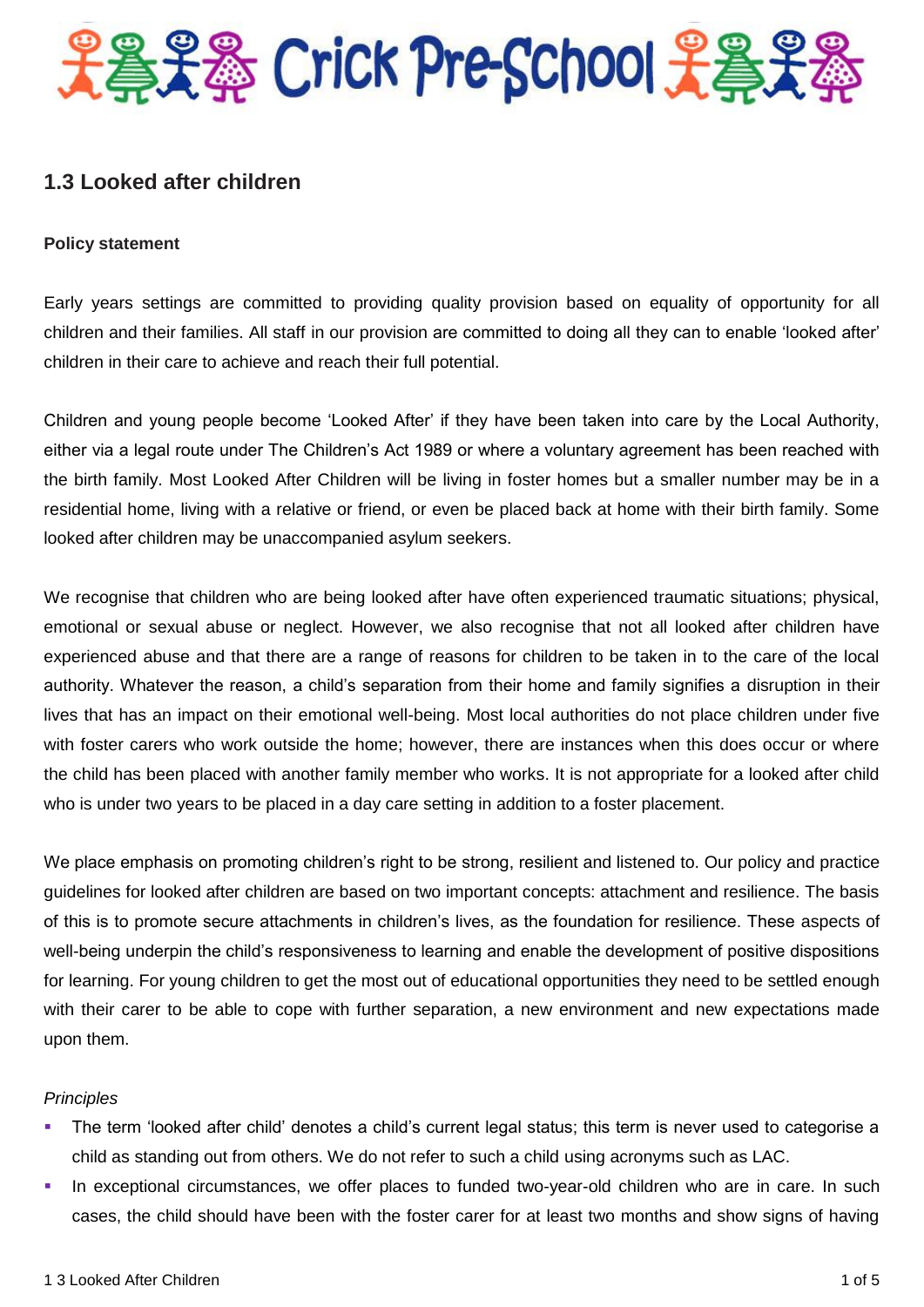

# **1.3 Looked after children**

#### **Policy statement**

Early years settings are committed to providing quality provision based on equality of opportunity for all children and their families. All staff in our provision are committed to doing all they can to enable 'looked after' children in their care to achieve and reach their full potential.

Children and young people become 'Looked After' if they have been taken into care by the Local Authority, either via a legal route under The Children's Act 1989 or where a voluntary agreement has been reached with the birth family. Most Looked After Children will be living in foster homes but a smaller number may be in a residential home, living with a relative or friend, or even be placed back at home with their birth family. Some looked after children may be unaccompanied asylum seekers.

We recognise that children who are being looked after have often experienced traumatic situations; physical, emotional or sexual abuse or neglect. However, we also recognise that not all looked after children have experienced abuse and that there are a range of reasons for children to be taken in to the care of the local authority. Whatever the reason, a child's separation from their home and family signifies a disruption in their lives that has an impact on their emotional well-being. Most local authorities do not place children under five with foster carers who work outside the home; however, there are instances when this does occur or where the child has been placed with another family member who works. It is not appropriate for a looked after child who is under two years to be placed in a day care setting in addition to a foster placement.

We place emphasis on promoting children's right to be strong, resilient and listened to. Our policy and practice guidelines for looked after children are based on two important concepts: attachment and resilience. The basis of this is to promote secure attachments in children's lives, as the foundation for resilience. These aspects of well-being underpin the child's responsiveness to learning and enable the development of positive dispositions for learning. For young children to get the most out of educational opportunities they need to be settled enough with their carer to be able to cope with further separation, a new environment and new expectations made upon them.

#### *Principles*

- The term 'looked after child' denotes a child's current legal status; this term is never used to categorise a child as standing out from others. We do not refer to such a child using acronyms such as LAC.
- In exceptional circumstances, we offer places to funded two-year-old children who are in care. In such cases, the child should have been with the foster carer for at least two months and show signs of having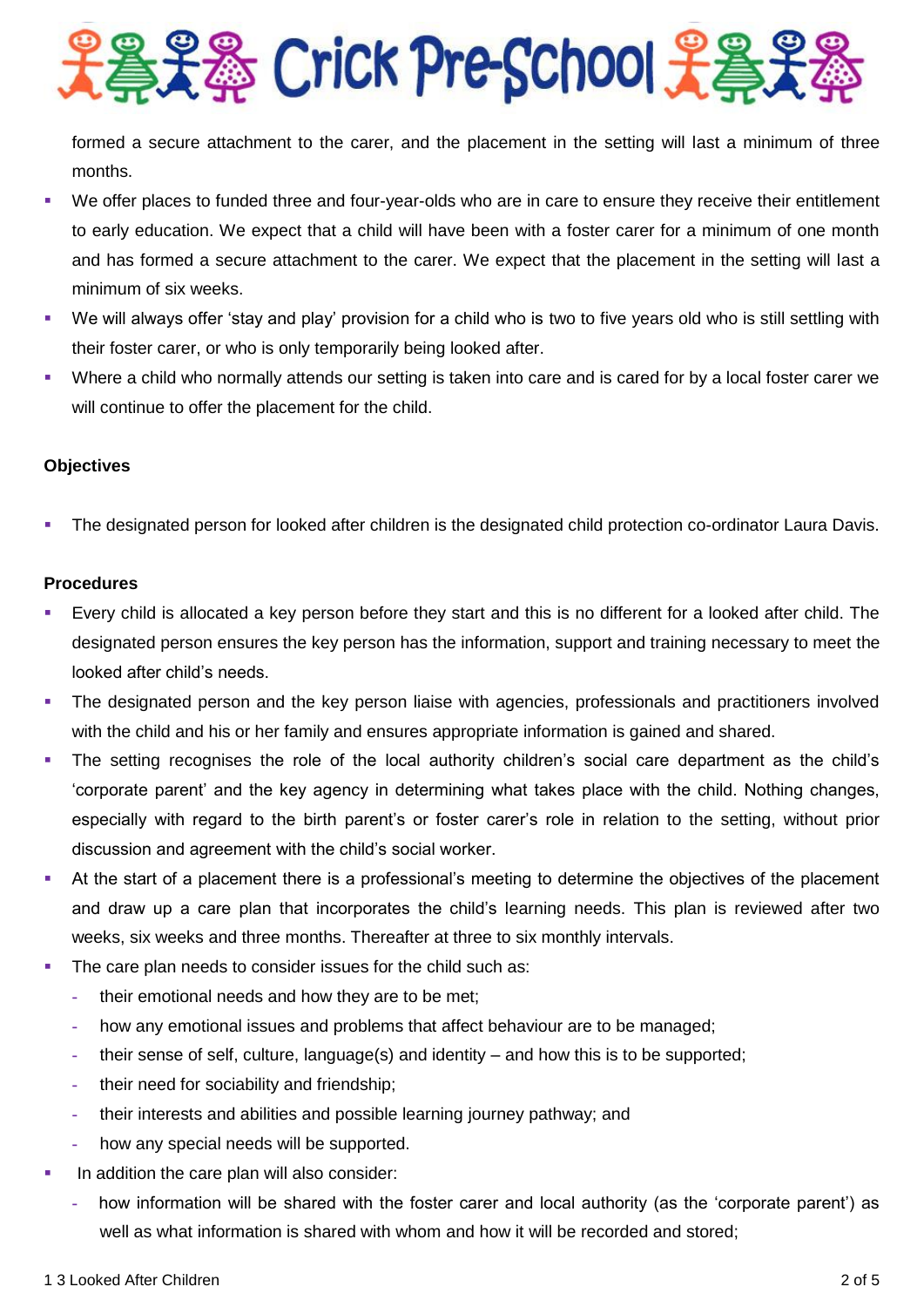**SHA Crick Pre-School Hang** 

formed a secure attachment to the carer, and the placement in the setting will last a minimum of three months.

- We offer places to funded three and four-year-olds who are in care to ensure they receive their entitlement to early education. We expect that a child will have been with a foster carer for a minimum of one month and has formed a secure attachment to the carer. We expect that the placement in the setting will last a minimum of six weeks.
- We will always offer 'stay and play' provision for a child who is two to five years old who is still settling with their foster carer, or who is only temporarily being looked after.
- Where a child who normally attends our setting is taken into care and is cared for by a local foster carer we will continue to offer the placement for the child.

# **Objectives**

The designated person for looked after children is the designated child protection co-ordinator Laura Davis.

# **Procedures**

- Every child is allocated a key person before they start and this is no different for a looked after child. The designated person ensures the key person has the information, support and training necessary to meet the looked after child's needs.
- The designated person and the key person liaise with agencies, professionals and practitioners involved with the child and his or her family and ensures appropriate information is gained and shared.
- The setting recognises the role of the local authority children's social care department as the child's 'corporate parent' and the key agency in determining what takes place with the child. Nothing changes, especially with regard to the birth parent's or foster carer's role in relation to the setting, without prior discussion and agreement with the child's social worker.
- At the start of a placement there is a professional's meeting to determine the objectives of the placement and draw up a care plan that incorporates the child's learning needs. This plan is reviewed after two weeks, six weeks and three months. Thereafter at three to six monthly intervals.
- The care plan needs to consider issues for the child such as:
	- **-** their emotional needs and how they are to be met;
	- **-** how any emotional issues and problems that affect behaviour are to be managed;
	- **-** their sense of self, culture, language(s) and identity and how this is to be supported;
	- **-** their need for sociability and friendship;
	- **-** their interests and abilities and possible learning journey pathway; and
	- **-** how any special needs will be supported.
- In addition the care plan will also consider:
	- **-** how information will be shared with the foster carer and local authority (as the 'corporate parent') as well as what information is shared with whom and how it will be recorded and stored;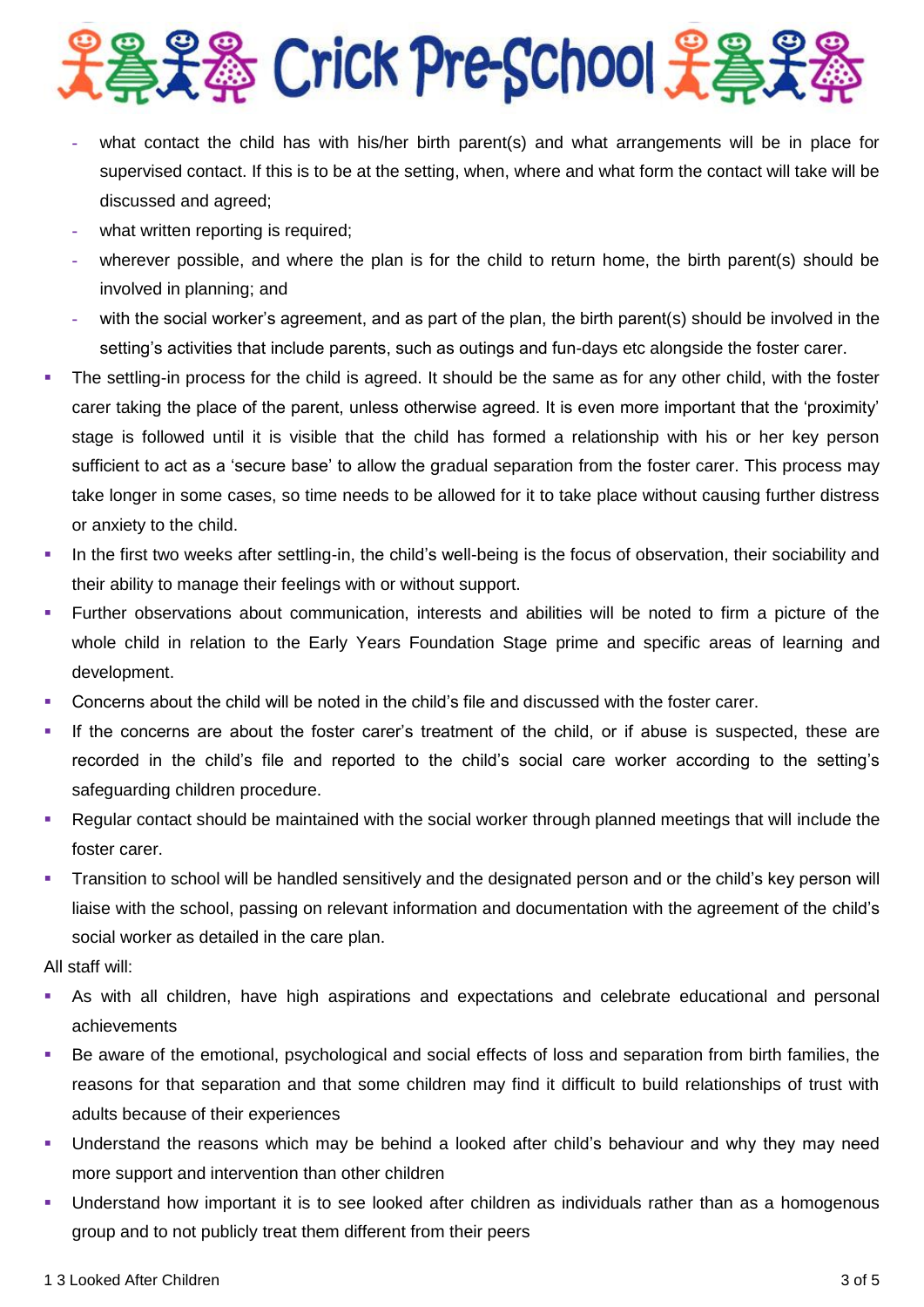# 豊美器 Crick Pre-School 子巻子

- **-** what contact the child has with his/her birth parent(s) and what arrangements will be in place for supervised contact. If this is to be at the setting, when, where and what form the contact will take will be discussed and agreed;
- **-** what written reporting is required;
- **-** wherever possible, and where the plan is for the child to return home, the birth parent(s) should be involved in planning; and
- **-** with the social worker's agreement, and as part of the plan, the birth parent(s) should be involved in the setting's activities that include parents, such as outings and fun-days etc alongside the foster carer.
- The settling-in process for the child is agreed. It should be the same as for any other child, with the foster carer taking the place of the parent, unless otherwise agreed. It is even more important that the 'proximity' stage is followed until it is visible that the child has formed a relationship with his or her key person sufficient to act as a 'secure base' to allow the gradual separation from the foster carer. This process may take longer in some cases, so time needs to be allowed for it to take place without causing further distress or anxiety to the child.
- In the first two weeks after settling-in, the child's well-being is the focus of observation, their sociability and their ability to manage their feelings with or without support.
- Further observations about communication, interests and abilities will be noted to firm a picture of the whole child in relation to the Early Years Foundation Stage prime and specific areas of learning and development.
- Concerns about the child will be noted in the child's file and discussed with the foster carer.
- If the concerns are about the foster carer's treatment of the child, or if abuse is suspected, these are recorded in the child's file and reported to the child's social care worker according to the setting's safeguarding children procedure.
- Regular contact should be maintained with the social worker through planned meetings that will include the foster carer.
- Transition to school will be handled sensitively and the designated person and or the child's key person will liaise with the school, passing on relevant information and documentation with the agreement of the child's social worker as detailed in the care plan.

All staff will:

- As with all children, have high aspirations and expectations and celebrate educational and personal achievements
- Be aware of the emotional, psychological and social effects of loss and separation from birth families, the reasons for that separation and that some children may find it difficult to build relationships of trust with adults because of their experiences
- Understand the reasons which may be behind a looked after child's behaviour and why they may need more support and intervention than other children
- Understand how important it is to see looked after children as individuals rather than as a homogenous group and to not publicly treat them different from their peers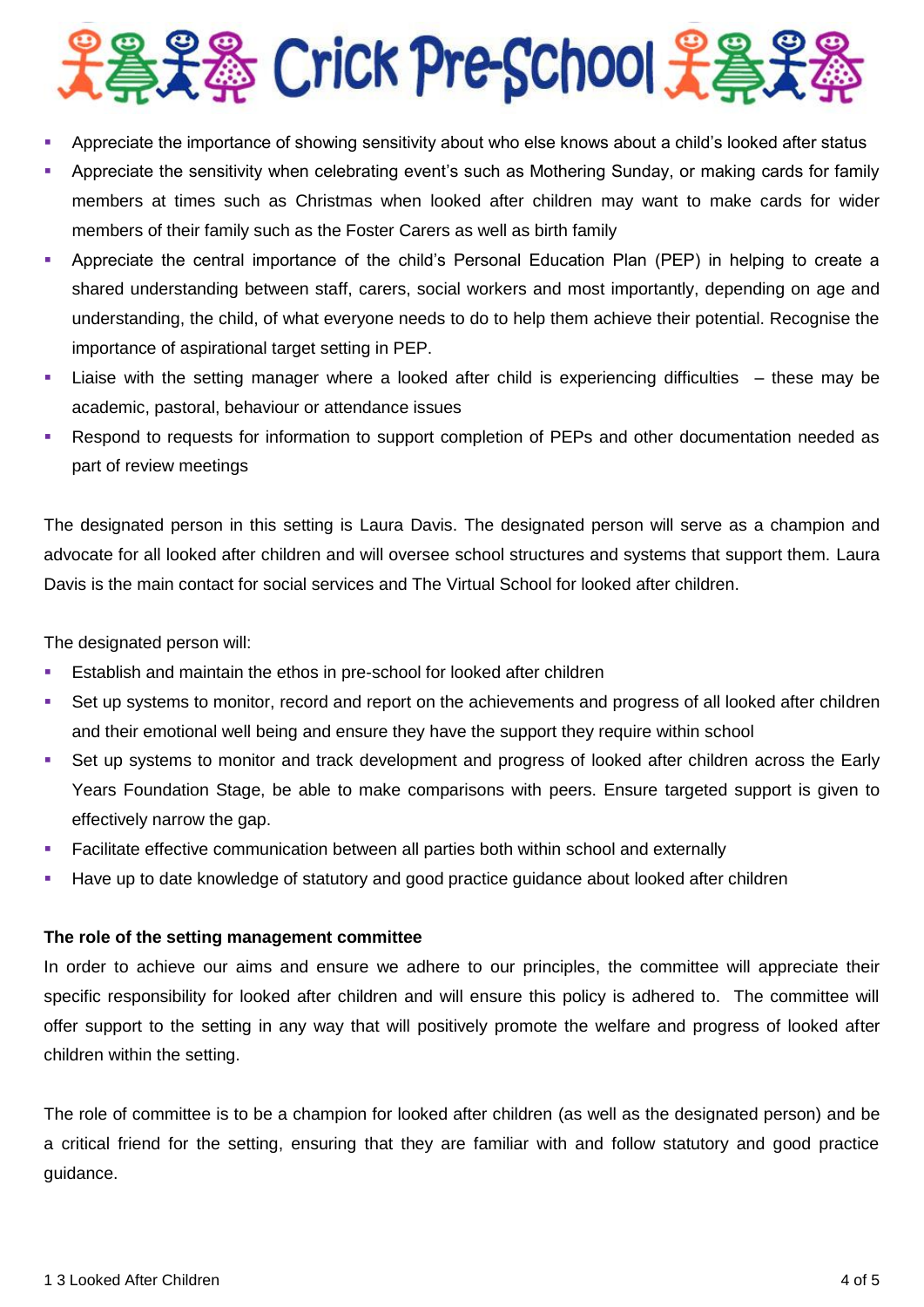

- Appreciate the importance of showing sensitivity about who else knows about a child's looked after status
- Appreciate the sensitivity when celebrating event's such as Mothering Sunday, or making cards for family members at times such as Christmas when looked after children may want to make cards for wider members of their family such as the Foster Carers as well as birth family
- Appreciate the central importance of the child's Personal Education Plan (PEP) in helping to create a shared understanding between staff, carers, social workers and most importantly, depending on age and understanding, the child, of what everyone needs to do to help them achieve their potential. Recognise the importance of aspirational target setting in PEP.
- Liaise with the setting manager where a looked after child is experiencing difficulties these may be academic, pastoral, behaviour or attendance issues
- Respond to requests for information to support completion of PEPs and other documentation needed as part of review meetings

The designated person in this setting is Laura Davis. The designated person will serve as a champion and advocate for all looked after children and will oversee school structures and systems that support them. Laura Davis is the main contact for social services and The Virtual School for looked after children.

The designated person will:

- Establish and maintain the ethos in pre-school for looked after children
- Set up systems to monitor, record and report on the achievements and progress of all looked after children and their emotional well being and ensure they have the support they require within school
- Set up systems to monitor and track development and progress of looked after children across the Early Years Foundation Stage, be able to make comparisons with peers. Ensure targeted support is given to effectively narrow the gap.
- Facilitate effective communication between all parties both within school and externally
- Have up to date knowledge of statutory and good practice guidance about looked after children

#### **The role of the setting management committee**

In order to achieve our aims and ensure we adhere to our principles, the committee will appreciate their specific responsibility for looked after children and will ensure this policy is adhered to. The committee will offer support to the setting in any way that will positively promote the welfare and progress of looked after children within the setting.

The role of committee is to be a champion for looked after children (as well as the designated person) and be a critical friend for the setting, ensuring that they are familiar with and follow statutory and good practice guidance.